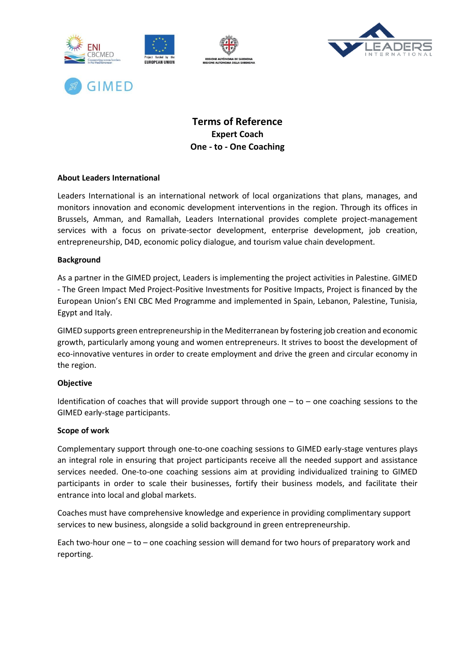



# **Terms of Reference Expert Coach One - to - One Coaching**

### **About Leaders International**

**GIMED** 

Leaders International is an international network of local organizations that plans, manages, and monitors innovation and economic development interventions in the region. Through its offices in Brussels, Amman, and Ramallah, Leaders International provides complete project-management services with a focus on private-sector development, enterprise development, job creation, entrepreneurship, D4D, economic policy dialogue, and tourism value chain development.

#### **Background**

As a partner in the GIMED project, Leaders is implementing the project activities in Palestine. GIMED - The Green Impact Med Project-Positive Investments for Positive Impacts, Project is financed by the European Union's ENI CBC Med Programme and implemented in Spain, Lebanon, Palestine, Tunisia, Egypt and Italy.

GIMED supports green entrepreneurship in the Mediterranean by fostering job creation and economic growth, particularly among young and women entrepreneurs. It strives to boost the development of eco-innovative ventures in order to create employment and drive the green and circular economy in the region.

#### **Objective**

Identification of coaches that will provide support through one  $-$  to  $-$  one coaching sessions to the GIMED early-stage participants.

#### **Scope of work**

Complementary support through one-to-one coaching sessions to GIMED early-stage ventures plays an integral role in ensuring that project participants receive all the needed support and assistance services needed. One-to-one coaching sessions aim at providing individualized training to GIMED participants in order to scale their businesses, fortify their business models, and facilitate their entrance into local and global markets.

Coaches must have comprehensive knowledge and experience in providing complimentary support services to new business, alongside a solid background in green entrepreneurship.

Each two-hour one – to – one coaching session will demand for two hours of preparatory work and reporting.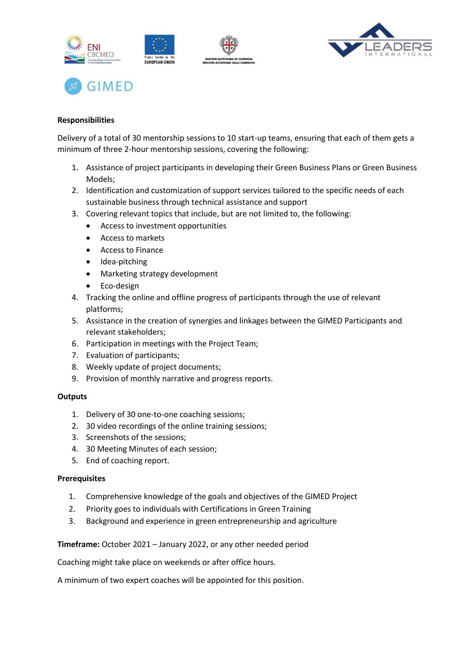





## **Responsibilities**

Delivery of a total of 30 mentorship sessions to 10 start-up teams, ensuring that each of them gets a minimum of three 2-hour mentorship sessions, covering the following:

- 1. Assistance of project participants in developing their Green Business Plans or Green Business Models;
- 2. Identification and customization of support services tailored to the specific needs of each sustainable business through technical assistance and support
- 3. Covering relevant topics that include, but are not limited to, the following:
	- Access to investment opportunities
	- Access to markets
	- Access to Finance
	- Idea-pitching
	- Marketing strategy development
	- Eco-design
- 4. Tracking the online and offline progress of participants through the use of relevant platforms;
- 5. Assistance in the creation of synergies and linkages between the GIMED Participants and relevant stakeholders;
- 6. Participation in meetings with the Project Team;
- 7. Evaluation of participants;
- 8. Weekly update of project documents;
- 9. Provision of monthly narrative and progress reports.

#### **Outputs**

- 1. Delivery of 30 one-to-one coaching sessions;
- 2. 30 video recordings of the online training sessions;
- 3. Screenshots of the sessions;
- 4. 30 Meeting Minutes of each session;
- 5. End of coaching report.

#### **Prerequisites**

- 1. Comprehensive knowledge of the goals and objectives of the GIMED Project
- 2. Priority goes to individuals with Certifications in Green Training
- 3. Background and experience in green entrepreneurship and agriculture

**Timeframe:** October 2021 – January 2022, or any other needed period

Coaching might take place on weekends or after office hours.

A minimum of two expert coaches will be appointed for this position.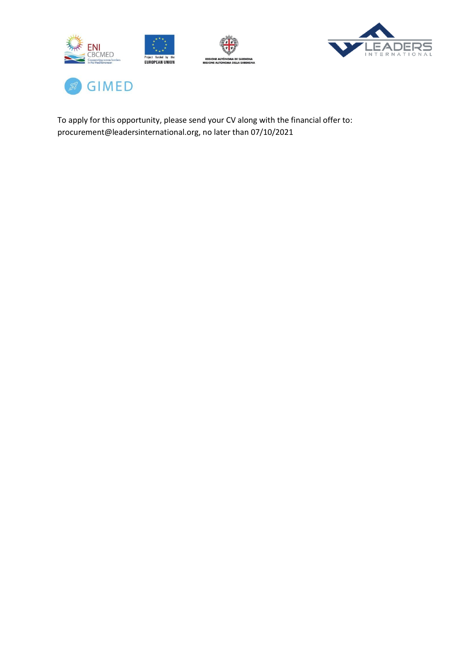





To apply for this opportunity, please send your CV along with the financial offer to: procurement@leadersinternational.org, no later than 07/10/2021